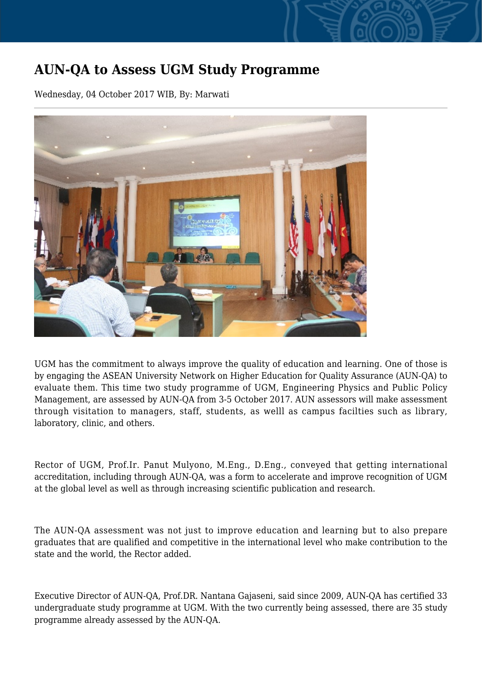## **AUN-QA to Assess UGM Study Programme**

Wednesday, 04 October 2017 WIB, By: Marwati



UGM has the commitment to always improve the quality of education and learning. One of those is by engaging the ASEAN University Network on Higher Education for Quality Assurance (AUN-QA) to evaluate them. This time two study programme of UGM, Engineering Physics and Public Policy Management, are assessed by AUN-QA from 3-5 October 2017. AUN assessors will make assessment through visitation to managers, staff, students, as welll as campus facilties such as library, laboratory, clinic, and others.

Rector of UGM, Prof.Ir. Panut Mulyono, M.Eng., D.Eng., conveyed that getting international accreditation, including through AUN-QA, was a form to accelerate and improve recognition of UGM at the global level as well as through increasing scientific publication and research.

The AUN-QA assessment was not just to improve education and learning but to also prepare graduates that are qualified and competitive in the international level who make contribution to the state and the world, the Rector added.

Executive Director of AUN-QA, Prof.DR. Nantana Gajaseni, said since 2009, AUN-QA has certified 33 undergraduate study programme at UGM. With the two currently being assessed, there are 35 study programme already assessed by the AUN-QA.